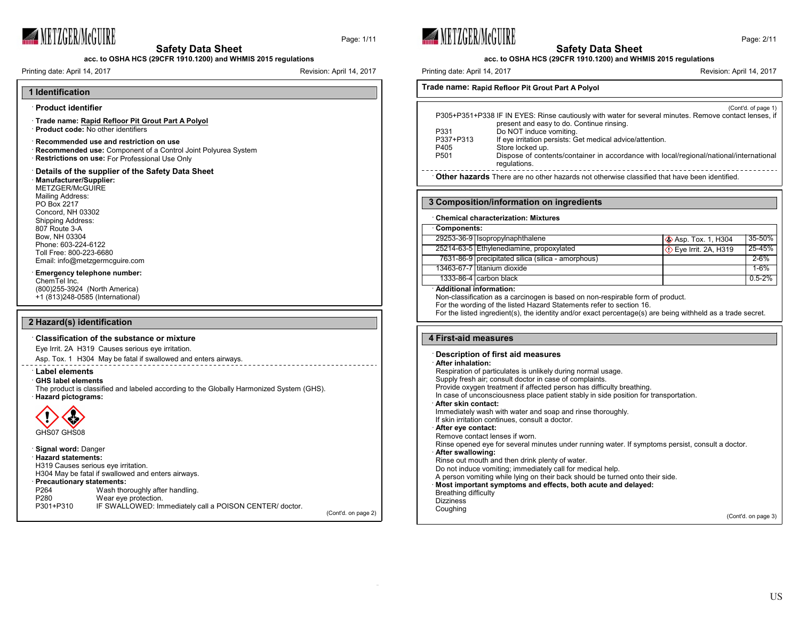

Page: 1/11

**acc. to OSHA HCS (29CFR 1910.1200) and WHMIS 2015 regulations**

Printing date: April 14, 2017 **Revision: April 14, 2017** Revision: April 14, 2017

# **1 Identification**

### · **Product identifier**

- · **Trade name: Rapid Refloor Pit Grout Part A Polyol**
- · **Product code:** No other identifiers
- · **Recommended use and restriction on use**
- · **Recommended use:** Component of a Control Joint Polyurea System · **Restrictions on use:** For Professional Use Only

### · **Details of the supplier of the Safety Data Sheet** · **Manufacturer/Supplier:**

# METZGER/McGUIRE

Mailing Address: PO Box 2217 Concord, NH 03302 Shipping Address: 807 Route 3-A Bow, NH 03304 Phone: 603-224-6122 Toll Free: 800-223-6680

# Email: info@metzgermcguire.com · **Emergency telephone number:**

ChemTel Inc. (800)255-3924 (North America) +1 (813)248-0585 (International)

# **2 Hazard(s) identification**

### · **Classification of the substance or mixture**

Eye Irrit. 2A H319 Causes serious eye irritation.

Asp. Tox. 1 H304 May be fatal if swallowed and enters airways.

## · **Label elements**

#### · **GHS label elements**

The product is classified and labeled according to the Globally Harmonized System (GHS). · **Hazard pictograms:**



### · **Signal word:** Danger · **Hazard statements:** H319 Causes serious eye irritation. H304 May be fatal if swallowed and enters airways. · **Precautionary statements:** P264 Wash thoroughly after handling.<br>P280 Wear eve protection. P280 Wear eye protection.<br>P301+P310 IF SWALLOWED: Im IF SWALLOWED: Immediately call a POISON CENTER/ doctor.

(Cont'd. on page 2)







# **acc. to OSHA HCS (29CFR 1910.1200) and WHMIS 2015 regulations**

Page: 2/11

**Trade name: Rapid Refloor Pit Grout Part A Polyol**

|                  | (Cont'd. of page 1)                                                                                    |
|------------------|--------------------------------------------------------------------------------------------------------|
|                  | P305+P351+P338 IF IN EYES: Rinse cautiously with water for several minutes. Remove contact lenses, if  |
|                  | present and easy to do. Continue rinsing.                                                              |
| P331             | Do NOT induce vomiting.                                                                                |
| P337+P313        | If eye irritation persists: Get medical advice/attention.                                              |
| P405             | Store locked up.                                                                                       |
| P <sub>501</sub> | Dispose of contents/container in accordance with local/regional/national/international<br>regulations. |
|                  |                                                                                                        |

· **Other hazards** There are no other hazards not otherwise classified that have been identified.

### **3 Composition/information on ingredients**

#### · **Chemical characterization: Mixtures**

#### · **Components:**

| GUILDUIRILS. |                                                    |                                |            |
|--------------|----------------------------------------------------|--------------------------------|------------|
|              | 29253-36-9   Isopropylnaphthalene                  | <b>&amp; Asp. Tox. 1, H304</b> | 35-50%     |
|              | 25214-63-5 Ethylenediamine, propoxylated           | ◯ Eye Irrit. 2A, H319          | $25 - 45%$ |
|              | 7631-86-9 precipitated silica (silica - amorphous) |                                | $2 - 6%$   |
|              | 13463-67-7 Ititanium dioxide                       |                                | $1 - 6%$   |
|              | 1333-86-4 carbon black                             |                                | $0.5 - 2%$ |

### · **Additional information:**

Non-classification as a carcinogen is based on non-respirable form of product.

For the wording of the listed Hazard Statements refer to section 16.

For the listed ingredient(s), the identity and/or exact percentage(s) are being withheld as a trade secret.

### **4 First-aid measures**

#### · **Description of first aid measures**

· **After inhalation:**

Respiration of particulates is unlikely during normal usage. Supply fresh air; consult doctor in case of complaints. Provide oxygen treatment if affected person has difficulty breathing. In case of unconsciousness place patient stably in side position for transportation. · **After skin contact:** Immediately wash with water and soap and rinse thoroughly. If skin irritation continues, consult a doctor. · **After eye contact:** Remove contact lenses if worn. Rinse opened eye for several minutes under running water. If symptoms persist, consult a doctor. · **After swallowing:** Rinse out mouth and then drink plenty of water. Do not induce vomiting; immediately call for medical help. A person vomiting while lying on their back should be turned onto their side. · **Most important symptoms and effects, both acute and delayed:** Breathing difficulty **Dizziness** Coughing

(Cont'd. on page 3)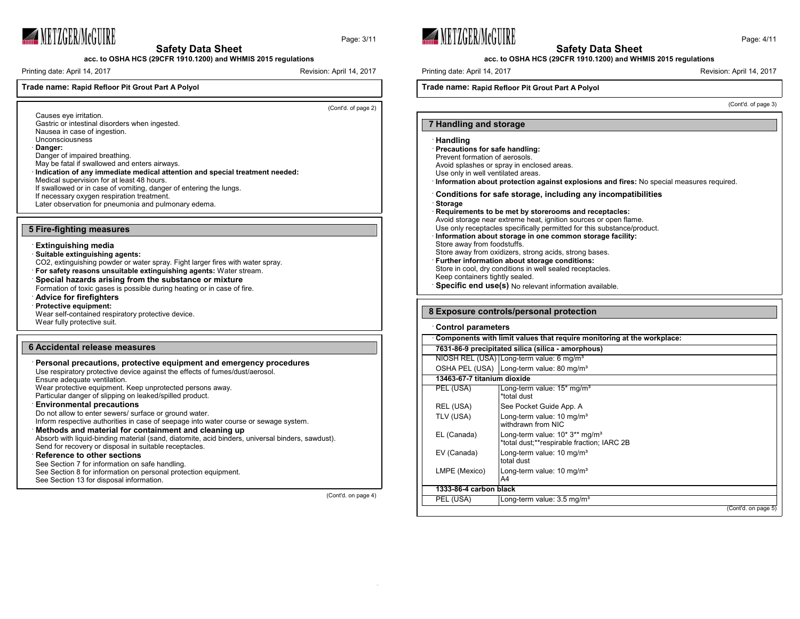

Page: 3/11



Printing date: April 14, 2017 **Revision: April 14, 2017** Revision: April 14, 2017

# **Trade name: Rapid Refloor Pit Grout Part A Polyol**

(Cont'd. of page 2)

- Causes eye irritation. Gastric or intestinal disorders when ingested. Nausea in case of ingestion. Unconsciousness
- 
- · **Danger:**
- Danger of impaired breathing.
- May be fatal if swallowed and enters airways. · **Indication of any immediate medical attention and special treatment needed:**
- Medical supervision for at least 48 hours.
- If swallowed or in case of vomiting, danger of entering the lungs.
- If necessary oxygen respiration treatment.
- Later observation for pneumonia and pulmonary edema.

### **5 Fire-fighting measures**

#### · **Extinguishing media**

- · **Suitable extinguishing agents:** CO2, extinguishing powder or water spray. Fight larger fires with water spray. · **For safety reasons unsuitable extinguishing agents:** Water stream. · **Special hazards arising from the substance or mixture** Formation of toxic gases is possible during heating or in case of fire. · **Advice for firefighters**
- · **Protective equipment:**
- Wear self-contained respiratory protective device. Wear fully protective suit.

# **6 Accidental release measures**

(Cont'd. on page 4)





**acc. to OSHA HCS (29CFR 1910.1200) and WHMIS 2015 regulations**

Printing date: April 14, 2017 **Printing date: April 14, 2017** Revision: April 14, 2017

# **Trade name: Rapid Refloor Pit Grout Part A Polyol**

(Cont'd. of page 3)

### **7 Handling and storage**

### · **Handling**

- · **Precautions for safe handling:**
- Prevent formation of aerosols.
- Avoid splashes or spray in enclosed areas.
- Use only in well ventilated areas.
- · **Information about protection against explosions and fires:** No special measures required.
- · **Conditions for safe storage, including any incompatibilities**
- · **Storage**
- · **Requirements to be met by storerooms and receptacles:**

Avoid storage near extreme heat, ignition sources or open flame. Use only receptacles specifically permitted for this substance/product.

- · **Information about storage in one common storage facility:**
- Store away from foodstuffs. Store away from oxidizers, strong acids, strong bases.
- · **Further information about storage conditions:**
- Store in cool, dry conditions in well sealed receptacles.
- Keep containers tightly sealed.
- · **Specific end use(s)** No relevant information available.

### **8 Exposure controls/personal protection**

#### · **Control parameters**

| Components with limit values that require monitoring at the workplace: |                                                                                          |  |  |
|------------------------------------------------------------------------|------------------------------------------------------------------------------------------|--|--|
|                                                                        | 7631-86-9 precipitated silica (silica - amorphous)                                       |  |  |
|                                                                        | NIOSH REL (USA) Long-term value: 6 mg/m <sup>3</sup>                                     |  |  |
|                                                                        | OSHA PEL (USA)   Long-term value: 80 mg/m <sup>3</sup>                                   |  |  |
| 13463-67-7 titanium dioxide                                            |                                                                                          |  |  |
| PEL (USA)                                                              | Long-term value: $15*$ mg/m <sup>3</sup><br>*total dust                                  |  |  |
| REL (USA)                                                              | See Pocket Guide App. A                                                                  |  |  |
| TLV (USA)                                                              | Long-term value: 10 mg/m <sup>3</sup><br>withdrawn from NIC                              |  |  |
| EL (Canada)                                                            | Long-term value: 10* 3** mg/m <sup>3</sup><br>*total dust;**respirable fraction; IARC 2B |  |  |
| EV (Canada)                                                            | Long-term value: 10 mg/m <sup>3</sup><br>total dust                                      |  |  |
| LMPE (Mexico)                                                          | Long-term value: 10 mg/m <sup>3</sup><br>A4                                              |  |  |
|                                                                        | 1333-86-4 carbon black                                                                   |  |  |
| PEL (USA)                                                              | Long-term value: 3.5 mg/m <sup>3</sup>                                                   |  |  |
|                                                                        | (Cont'd. on page 5)                                                                      |  |  |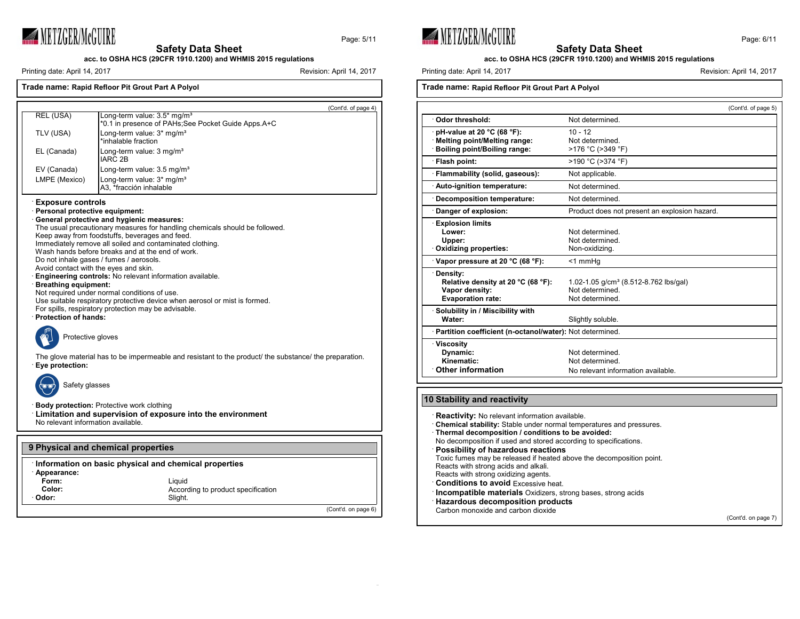

Page: 5/11

**acc. to OSHA HCS (29CFR 1910.1200) and WHMIS 2015 regulations**

Printing date: April 14, 2017 **Revision: April 14, 2017** Revision: April 14, 2017

# **Trade name: Rapid Refloor Pit Grout Part A Polyol** (Cont'd. of page 4) REL (USA) | Long-term value: 3.5\* mg/m<sup>3</sup> \*0.1 in presence of PAHs;See Pocket Guide Apps.A+C TLV (USA) **Long-term value: 3\* mg/m<sup>3</sup>** \*inhalable fraction EL (Canada) Long-term value: 3 mg/m<sup>3</sup> IARC 2B EV (Canada) Long-term value: 3.5 mg/m<sup>3</sup> LMPE (Mexico) | Long-term value: 3\* mg/m<sup>3</sup> A3, \*fracción inhalable · **Exposure controls** · **Personal protective equipment:** · **General protective and hygienic measures:** The usual precautionary measures for handling chemicals should be followed. Keep away from foodstuffs, beverages and feed.

Immediately remove all soiled and contaminated clothing. Wash hands before breaks and at the end of work. Do not inhale gases / fumes / aerosols. Avoid contact with the eyes and skin. · **Engineering controls:** No relevant information available. · **Breathing equipment:** Not required under normal conditions of use. Use suitable respiratory protective device when aerosol or mist is formed. For spills, respiratory protection may be advisable.

· **Protection of hands:**



The glove material has to be impermeable and resistant to the product/ the substance/ the preparation. · **Eye protection:**



Safety glasses

· **Body protection:** Protective work clothing · **Limitation and supervision of exposure into the environment** No relevant information available.

Slight.

# **9 Physical and chemical properties**

|               | Information on basic physical and chemical properties |  |
|---------------|-------------------------------------------------------|--|
| · Appearance: |                                                       |  |

|  | Abbearai |  |
|--|----------|--|
|  |          |  |

**Form:** Liquid

**Color:** According to product specification<br> **Color:** Slight. Slight.

(Cont'd. on page 6)





**acc. to OSHA HCS (29CFR 1910.1200) and WHMIS 2015 regulations**

Printing date: April 14, 2017 **Printing date: April 14, 2017** Revision: April 14, 2017

# **Trade name: Rapid Refloor Pit Grout Part A Polyol**

|                                                              |                                               | (Cont'd. of page 5) |
|--------------------------------------------------------------|-----------------------------------------------|---------------------|
| Odor threshold:                                              | Not determined.                               |                     |
|                                                              |                                               |                     |
| pH-value at 20 °C (68 °F):                                   | $10 - 12$<br>Not determined.                  |                     |
| Melting point/Melting range:<br>Boiling point/Boiling range: | >176 °C (>349 °F)                             |                     |
|                                                              |                                               |                     |
| · Flash point:                                               | >190 °C (>374 °F)                             |                     |
| · Flammability (solid, gaseous):                             | Not applicable.                               |                     |
| Auto-ignition temperature:                                   | Not determined.                               |                     |
| Decomposition temperature:                                   | Not determined.                               |                     |
| Danger of explosion:                                         | Product does not present an explosion hazard. |                     |
| <b>Explosion limits</b>                                      |                                               |                     |
| Lower:                                                       | Not determined.                               |                     |
| Upper:                                                       | Not determined.                               |                     |
| Oxidizing properties:                                        | Non-oxidizing.                                |                     |
| Vapor pressure at 20 $^{\circ}$ C (68 $^{\circ}$ F):         | <1 mmHq                                       |                     |
| Density:                                                     |                                               |                     |
| Relative density at 20 °C (68 °F):                           | 1.02-1.05 $q/cm^3$ (8.512-8.762 lbs/gal)      |                     |
| Vapor density:                                               | Not determined.                               |                     |
| <b>Evaporation rate:</b>                                     | Not determined.                               |                     |
| Solubility in / Miscibility with                             |                                               |                     |
| Water:                                                       | Slightly soluble.                             |                     |
| · Partition coefficient (n-octanol/water): Not determined.   |                                               |                     |
| <b>Viscosity</b>                                             |                                               |                     |
| Dynamic:                                                     | Not determined                                |                     |
| Kinematic:                                                   | Not determined                                |                     |
| <b>Other information</b>                                     | No relevant information available.            |                     |

# **10 Stability and reactivity**

**Reactivity:** No relevant information available. · **Chemical stability:** Stable under normal temperatures and pressures. · **Thermal decomposition / conditions to be avoided:** No decomposition if used and stored according to specifications. · **Possibility of hazardous reactions** Toxic fumes may be released if heated above the decomposition point. Reacts with strong acids and alkali. Reacts with strong oxidizing agents. · **Conditions to avoid** Excessive heat. **Incompatible materials** Oxidizers, strong bases, strong acids · **Hazardous decomposition products** Carbon monoxide and carbon dioxide

(Cont'd. on page 7)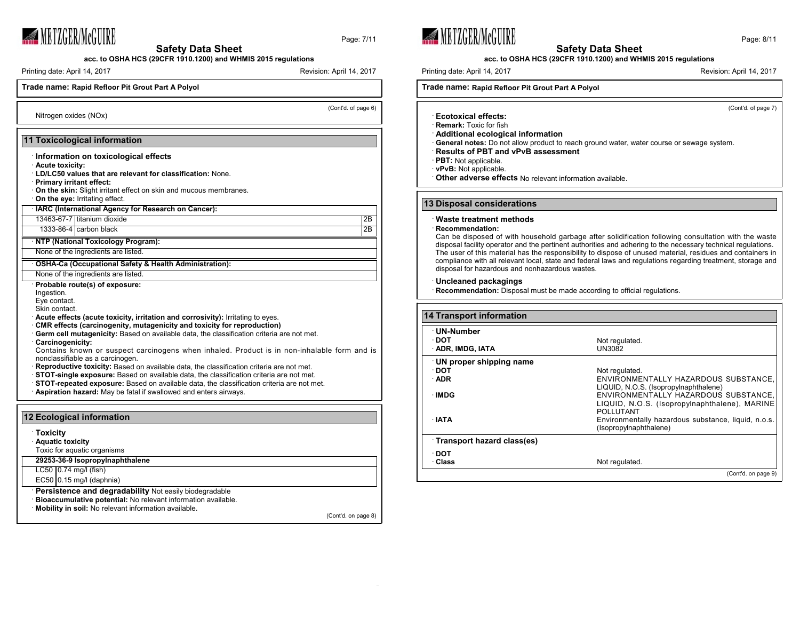

Page: 7/11

**acc. to OSHA HCS (29CFR 1910.1200) and WHMIS 2015 regulations**

Printing date: April 14, 2017 **Revision: April 14, 2017** Revision: April 14, 2017

Nitrogen oxides (NOx)

# **Trade name: Rapid Refloor Pit Grout Part A Polyol**

(Cont'd. of page 6)

# **11 Toxicological information**

- · **Information on toxicological effects**
- · **Acute toxicity:**
- · **LD/LC50 values that are relevant for classification:** None.
- · **Primary irritant effect:**
- · **On the skin:** Slight irritant effect on skin and mucous membranes. · **On the eye:** Irritating effect.
- · **IARC (International Agency for Research on Cancer):**

13463-67-7 titanium dioxide 2B

1333-86-4 carbon black 2B

· **NTP (National Toxicology Program):**

None of the ingredients are listed.

#### · **OSHA-Ca (Occupational Safety & Health Administration):**

None of the ingredients are listed.

· **Probable route(s) of exposure:**

- Ingestion.
- Eye contact.

Skin contact.

· **Acute effects (acute toxicity, irritation and corrosivity):** Irritating to eyes.

- · **CMR effects (carcinogenity, mutagenicity and toxicity for reproduction)**
- · **Germ cell mutagenicity:** Based on available data, the classification criteria are not met. · **Carcinogenicity:**
- Contains known or suspect carcinogens when inhaled. Product is in non-inhalable form and is nonclassifiable as a carcinogen.
- · **Reproductive toxicity:** Based on available data, the classification criteria are not met.
- · **STOT-single exposure:** Based on available data, the classification criteria are not met.
- · **STOT-repeated exposure:** Based on available data, the classification criteria are not met.
- · **Aspiration hazard:** May be fatal if swallowed and enters airways.

# **12 Ecological information** · **Toxicity** · **Aquatic toxicity** Toxic for aquatic organisms **29253-36-9 Isopropylnaphthalene** LC50 0.74 mg/l (fish)  $EC50$  0.15 mg/l (daphnia) · **Persistence and degradability** Not easily biodegradable · **Bioaccumulative potential:** No relevant information available. · **Mobility in soil:** No relevant information available.

(Cont'd. on page 8)





### **acc. to OSHA HCS (29CFR 1910.1200) and WHMIS 2015 regulations**

Printing date: April 14, 2017 **Printing date: April 14, 2017** Revision: April 14, 2017

# **Trade name: Rapid Refloor Pit Grout Part A Polyol**

(Cont'd. of page 7)

- · **Ecotoxical effects:**
- · **Remark:** Toxic for fish · **Additional ecological information**
- · **General notes:** Do not allow product to reach ground water, water course or sewage system.
- · **Results of PBT and vPvB assessment**
- **PBT:** Not applicable.
- · **vPvB:** Not applicable.
- · **Other adverse effects** No relevant information available.

### **13 Disposal considerations**

#### · **Waste treatment methods**

· **Recommendation:**

Can be disposed of with household garbage after solidification following consultation with the waste disposal facility operator and the pertinent authorities and adhering to the necessary technical regulations. The user of this material has the responsibility to dispose of unused material, residues and containers in compliance with all relevant local, state and federal laws and regulations regarding treatment, storage and disposal for hazardous and nonhazardous wastes.

#### · **Uncleaned packagings**

**Recommendation:** Disposal must be made according to official regulations.

| <b>14 Transport information</b> |                                                     |  |
|---------------------------------|-----------------------------------------------------|--|
| UN-Number                       |                                                     |  |
| ∙ DOT                           | Not regulated.                                      |  |
| ADR, IMDG, IATA                 | UN3082                                              |  |
| UN proper shipping name         |                                                     |  |
| ∙ DOT                           | Not regulated.                                      |  |
| $\cdot$ ADR                     | ENVIRONMENTALLY HAZARDOUS SUBSTANCE.                |  |
|                                 | LIQUID, N.O.S. (Isopropylnaphthalene)               |  |
| ∙IMDG                           | ENVIRONMENTALLY HAZARDOUS SUBSTANCE,                |  |
|                                 | LIQUID, N.O.S. (Isopropylnaphthalene), MARINE       |  |
|                                 | <b>POLLUTANT</b>                                    |  |
| ∴IATA                           | Environmentally hazardous substance, liquid, n.o.s. |  |
|                                 | (Isopropylnaphthalene)                              |  |
| Transport hazard class(es)      |                                                     |  |
| ∙ DOT                           |                                                     |  |
| · Class                         | Not regulated.                                      |  |
|                                 | (Cont'd. on page 9)                                 |  |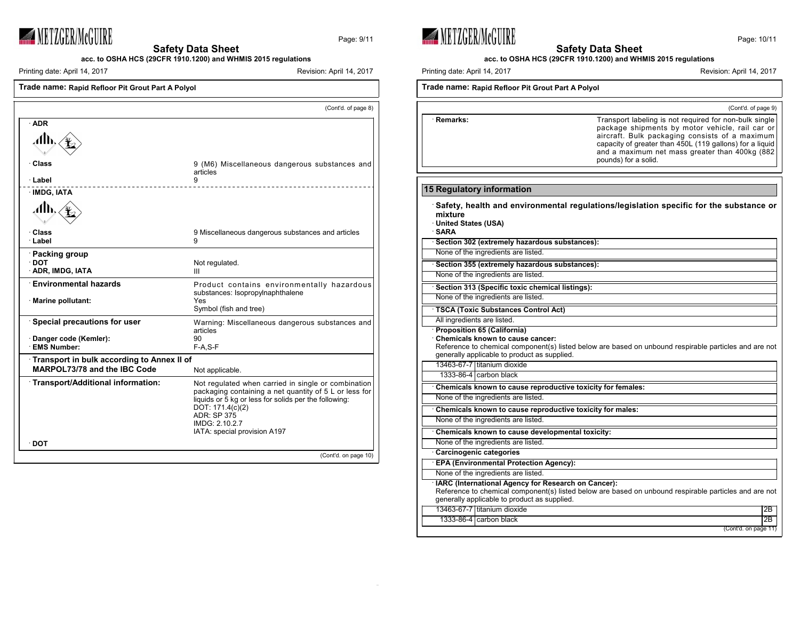

Page: 9/11

**Safety Data Sheet acc. to OSHA HCS (29CFR 1910.1200) and WHMIS 2015 regulations**

Printing date: April 14, 2017 **Revision: April 14, 2017** Revision: April 14, 2017

| Trade name: Rapid Refloor Pit Grout Part A Polyol |
|---------------------------------------------------|
|                                                   |
|                                                   |

|                                                     | (Cont'd. of page 8)                                                                                                                                                                                                                                                |
|-----------------------------------------------------|--------------------------------------------------------------------------------------------------------------------------------------------------------------------------------------------------------------------------------------------------------------------|
| · ADR                                               |                                                                                                                                                                                                                                                                    |
| Alh.                                                |                                                                                                                                                                                                                                                                    |
| · Class<br>· Label                                  | 9 (M6) Miscellaneous dangerous substances and<br>articles<br>9                                                                                                                                                                                                     |
| · IMDG, IATA                                        |                                                                                                                                                                                                                                                                    |
| 7∰⊾                                                 |                                                                                                                                                                                                                                                                    |
| ∙ Class<br>· Label                                  | 9 Miscellaneous dangerous substances and articles<br>9                                                                                                                                                                                                             |
| · Packing group<br>$\cdot$ DOT<br>· ADR, IMDG, IATA | Not regulated.<br>Ш                                                                                                                                                                                                                                                |
| <b>Environmental hazards</b><br>· Marine pollutant: | Product contains environmentally hazardous<br>substances: Isopropylnaphthalene<br>Yes<br>Symbol (fish and tree)                                                                                                                                                    |
| <b>Special precautions for user</b>                 | Warning: Miscellaneous dangerous substances and<br>articles                                                                                                                                                                                                        |
| Danger code (Kemler):<br><b>EMS Number:</b>         | 90<br>$F-A, S-F$                                                                                                                                                                                                                                                   |
| Transport in bulk according to Annex II of          |                                                                                                                                                                                                                                                                    |
| MARPOL73/78 and the IBC Code                        | Not applicable.                                                                                                                                                                                                                                                    |
| · Transport/Additional information:                 | Not regulated when carried in single or combination<br>packaging containing a net quantity of 5 L or less for<br>liquids or 5 kg or less for solids per the following:<br>DOT: 171.4(c)(2)<br><b>ADR: SP 375</b><br>IMDG: 2.10.2.7<br>IATA: special provision A197 |
| ∙ DOT                                               |                                                                                                                                                                                                                                                                    |
|                                                     | (Cont'd. on page 10)                                                                                                                                                                                                                                               |



**Safety Data Sheet**

**acc. to OSHA HCS (29CFR 1910.1200) and WHMIS 2015 regulations**

Printing date: April 14, 2017 Revision: April 14, 2017

| Trade name: Rapid Refloor Pit Grout Part A Polyol                                                                                                             |                                                                                                                                                                                                                                                                                                   |  |
|---------------------------------------------------------------------------------------------------------------------------------------------------------------|---------------------------------------------------------------------------------------------------------------------------------------------------------------------------------------------------------------------------------------------------------------------------------------------------|--|
|                                                                                                                                                               | (Cont'd. of page 9)                                                                                                                                                                                                                                                                               |  |
| · Remarks:                                                                                                                                                    | Transport labeling is not required for non-bulk single<br>package shipments by motor vehicle, rail car or<br>aircraft. Bulk packaging consists of a maximum<br>capacity of greater than 450L (119 gallons) for a liquid<br>and a maximum net mass greater than 400kg (882<br>pounds) for a solid. |  |
|                                                                                                                                                               |                                                                                                                                                                                                                                                                                                   |  |
| 15 Regulatory information                                                                                                                                     |                                                                                                                                                                                                                                                                                                   |  |
| mixture<br>United States (USA)<br>· SARA                                                                                                                      | Safety, health and environmental regulations/legislation specific for the substance or                                                                                                                                                                                                            |  |
| · Section 302 (extremely hazardous substances):                                                                                                               |                                                                                                                                                                                                                                                                                                   |  |
| None of the ingredients are listed.                                                                                                                           |                                                                                                                                                                                                                                                                                                   |  |
| Section 355 (extremely hazardous substances):                                                                                                                 |                                                                                                                                                                                                                                                                                                   |  |
| None of the ingredients are listed.                                                                                                                           |                                                                                                                                                                                                                                                                                                   |  |
| Section 313 (Specific toxic chemical listings):                                                                                                               |                                                                                                                                                                                                                                                                                                   |  |
| None of the ingredients are listed.                                                                                                                           |                                                                                                                                                                                                                                                                                                   |  |
| TSCA (Toxic Substances Control Act)                                                                                                                           |                                                                                                                                                                                                                                                                                                   |  |
| All ingredients are listed.                                                                                                                                   |                                                                                                                                                                                                                                                                                                   |  |
| <b>Proposition 65 (California)</b><br><b>Chemicals known to cause cancer:</b><br>generally applicable to product as supplied.<br>13463-67-7 Ititanium dioxide | Reference to chemical component(s) listed below are based on unbound respirable particles and are not                                                                                                                                                                                             |  |
| 1333-86-4 carbon black                                                                                                                                        |                                                                                                                                                                                                                                                                                                   |  |
| Chemicals known to cause reproductive toxicity for females:                                                                                                   |                                                                                                                                                                                                                                                                                                   |  |
| None of the ingredients are listed.                                                                                                                           |                                                                                                                                                                                                                                                                                                   |  |
| Chemicals known to cause reproductive toxicity for males:                                                                                                     |                                                                                                                                                                                                                                                                                                   |  |
| None of the ingredients are listed.                                                                                                                           |                                                                                                                                                                                                                                                                                                   |  |
| Chemicals known to cause developmental toxicity:                                                                                                              |                                                                                                                                                                                                                                                                                                   |  |
| None of the ingredients are listed.                                                                                                                           |                                                                                                                                                                                                                                                                                                   |  |
| Carcinogenic categories                                                                                                                                       |                                                                                                                                                                                                                                                                                                   |  |
| <b>EPA (Environmental Protection Agency):</b>                                                                                                                 |                                                                                                                                                                                                                                                                                                   |  |
| None of the ingredients are listed.                                                                                                                           |                                                                                                                                                                                                                                                                                                   |  |
| · IARC (International Agency for Research on Cancer):<br>generally applicable to product as supplied.                                                         | Reference to chemical component(s) listed below are based on unbound respirable particles and are not                                                                                                                                                                                             |  |
| 13463-67-7 I titanium dioxide                                                                                                                                 | 2B                                                                                                                                                                                                                                                                                                |  |
| 1333-86-4 carbon black                                                                                                                                        | 2В                                                                                                                                                                                                                                                                                                |  |
|                                                                                                                                                               | (Cont'd. on page 11)                                                                                                                                                                                                                                                                              |  |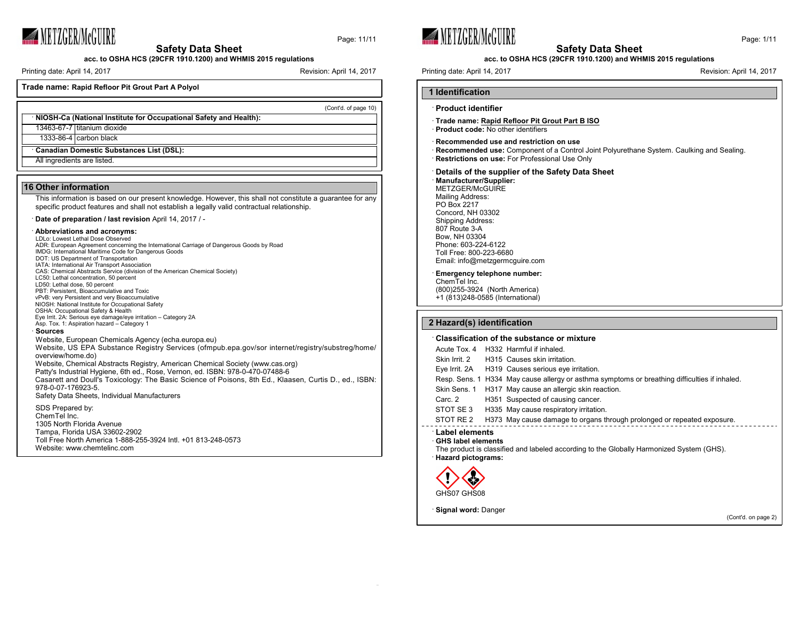

Page: 11/11

**acc. to OSHA HCS (29CFR 1910.1200) and WHMIS 2015 regulations**

Printing date: April 14, 2017 **Revision: April 14, 2017** Revision: April 14, 2017

(Cont'd. of page 10)

**Trade name: Rapid Refloor Pit Grout Part A Polyol**

· **NIOSH-Ca (National Institute for Occupational Safety and Health):** 13463-67-7 titanium dioxide 1333-86-4 carbon black · **Canadian Domestic Substances List (DSL):**

All ingredients are listed.

### **16 Other information**

This information is based on our present knowledge. However, this shall not constitute a guarantee for any specific product features and shall not establish a legally valid contractual relationship.

· **Date of preparation / last revision** April 14, 2017 / -

#### · **Abbreviations and acronyms:**

LDLo: Lowest Lethal Dose Observed ADR: European Agreement concerning the International Carriage of Dangerous Goods by Road IMDG: International Maritime Code for Dangerous Goods DOT: US Department of Transportation IATA: International Air Transport Association CAS: Chemical Abstracts Service (division of the American Chemical Society) LC50: Lethal concentration, 50 percent LD50: Lethal dose, 50 percent PBT: Persistent, Bioaccumulative and Toxic vPvB: very Persistent and very Bioaccumulative NIOSH: National Institute for Occupational Safety OSHA: Occupational Safety & Health Eye Irrit. 2A: Serious eye damage/eye irritation – Category 2A Asp. Tox. 1: Aspiration hazard – Category 1 · **Sources** Website, European Chemicals Agency (echa.europa.eu) Website, US EPA Substance Registry Services (ofmpub.epa.gov/sor internet/registry/substreg/home/ overview/home.do) Website, Chemical Abstracts Registry, American Chemical Society (www.cas.org) Patty's Industrial Hygiene, 6th ed., Rose, Vernon, ed. ISBN: 978-0-470-07488-6 Casarett and Doull's Toxicology: The Basic Science of Poisons, 8th Ed., Klaasen, Curtis D., ed., ISBN: 978-0-07-176923-5. Safety Data Sheets, Individual Manufacturers

SDS Prepared by: ChemTel Inc. 1305 North Florida Avenue Tampa, Florida USA 33602-2902 Toll Free North America 1-888-255-3924 Intl. +01 813-248-0573 Website: www.chemtelinc.com





**acc. to OSHA HCS (29CFR 1910.1200) and WHMIS 2015 regulations**

Printing date: April 14, 2017 **Printing date: April 14, 2017** Revision: April 14, 2017

# **1 Identification** · **Product identifier**

- · **Trade name: Rapid Refloor Pit Grout Part B ISO** · **Product code:** No other identifiers
- 
- · **Recommended use and restriction on use**
- · **Recommended use:** Component of a Control Joint Polyurethane System. Caulking and Sealing. · **Restrictions on use:** For Professional Use Only
- · **Details of the supplier of the Safety Data Sheet**

· **Manufacturer/Supplier:** METZGER/McGUIRE Mailing Address: PO Box 2217 Concord, NH 03302 Shipping Address: 807 Route 3-A Bow, NH 03304 Phone: 603-224-6122 Toll Free: 800-223-6680 Email: info@metzgermcguire.com

#### · **Emergency telephone number:**

ChemTel Inc. (800)255-3924 (North America) +1 (813)248-0585 (International)

### **2 Hazard(s) identification**

### · **Classification of the substance or mixture**

| Acute Tox, 4                                                             | H332 Harmful if inhaled.                                                                      |
|--------------------------------------------------------------------------|-----------------------------------------------------------------------------------------------|
| Skin Irrit, 2                                                            | H315 Causes skin irritation.                                                                  |
|                                                                          | Eye Irrit. 2A H319 Causes serious eye irritation.                                             |
|                                                                          | Resp. Sens. 1 H334 May cause allergy or asthma symptoms or breathing difficulties if inhaled. |
| Skin Sens. 1                                                             | H317 May cause an allergic skin reaction.                                                     |
| Carc. 2                                                                  | H351 Suspected of causing cancer.                                                             |
| STOT SE 3                                                                | H335 May cause respiratory irritation.                                                        |
| STOT RE 2                                                                | H373 May cause damage to organs through prolonged or repeated exposure.                       |
| Label elements<br><b>GHS label elements</b><br><b>Hazard pictograms:</b> | The product is classified and labeled according to the Globally Harmonized System (GHS).      |
|                                                                          |                                                                                               |



· **Signal word:** Danger

(Cont'd. on page 2)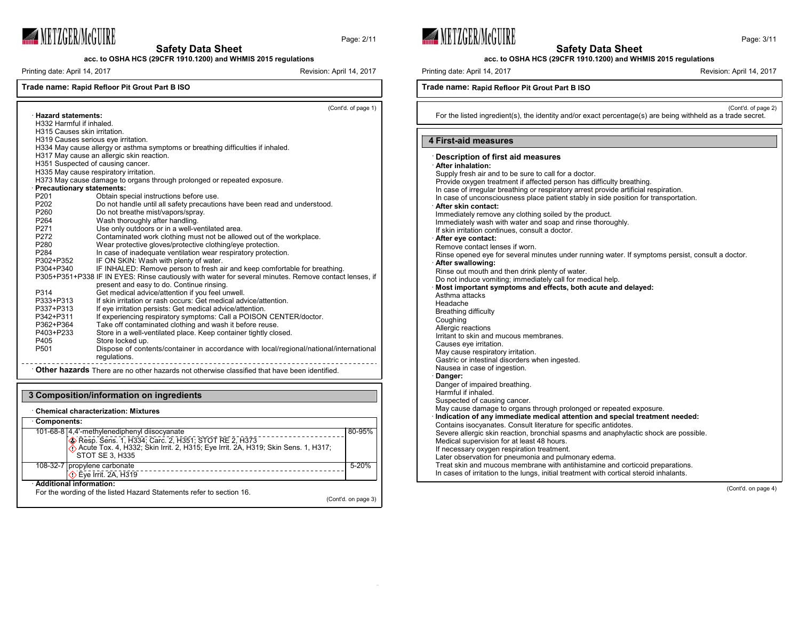

**acc. to OSHA HCS (29CFR 1910.1200) and WHMIS 2015 regulations**

Printing date: April 14, 2017 **Revision: April 14, 2017** Revision: April 14, 2017

Page: 2/11

## **Trade name: Rapid Refloor Pit Grout Part B ISO**

(Cont'd. of page 1) · **Hazard statements:** H332 Harmful if inhaled. H315 Causes skin irritation. H319 Causes serious eye irritation. H334 May cause allergy or asthma symptoms or breathing difficulties if inhaled. H317 May cause an allergic skin reaction. H351 Suspected of causing cancer. H335 May cause respiratory irritation. H373 May cause damage to organs through prolonged or repeated exposure. **Precautionary statements:**<br>P201 Obtain sp P201 Obtain special instructions before use.<br>P202 Do not handle until all safety precaution P202 Do not handle until all safety precautions have been read and understood.<br>P260 Do not breathe mist/vapors/spray. P260 Do not breathe mist/vapors/spray.<br>P264 Wash thoroughly after handling. P264 Wash thoroughly after handling.<br>P271 Use only outdoors or in a well-ve P271 Use only outdoors or in a well-ventilated area.<br>P272 Contaminated work clothing must not be allow P272 Contaminated work clothing must not be allowed out of the workplace.<br>P280 Wear protective gloves/protective clothing/eve protection. P280 Wear protective gloves/protective clothing/eye protection.<br>P284 In case of inadequate ventilation wear respiratory protection. P284 In case of inadequate ventilation wear respiratory protection.<br>P302+P352 IF ON SKIN: Wash with plenty of water. P302+P352 IF ON SKIN: Wash with plenty of water.<br>P304+P340 IF INHALED: Remove person to fresh a IF INHALED: Remove person to fresh air and keep comfortable for breathing. P305+P351+P338 IF IN EYES: Rinse cautiously with water for several minutes. Remove contact lenses, if present and easy to do. Continue rinsing. P314 Get medical advice/attention if you feel unwell. P333+P313 If skin irritation or rash occurs: Get medical advice/attention.<br>P337+P313 If eve irritation persists: Get medical advice/attention. P337+P313 If eye irritation persists: Get medical advice/attention.<br>P342+P311 If experiencing respiratory symptoms: Call a POISON P342+P311 If experiencing respiratory symptoms: Call a POISON CENTER/doctor.<br>P362+P364 Take off contaminated clothing and wash it before reuse. P362+P364 Take off contaminated clothing and wash it before reuse. P403+P233 Store in a well-ventilated place. Keep container tightly closed. P405 Store locked up.<br>P501 Dispose of conte Dispose of contents/container in accordance with local/regional/national/international regulations. · **Other hazards** There are no other hazards not otherwise classified that have been identified.







**acc. to OSHA HCS (29CFR 1910.1200) and WHMIS 2015 regulations**

Printing date: April 14, 2017 **Printing date: April 14, 2017** Revision: April 14, 2017

### **Trade name: Rapid Refloor Pit Grout Part B ISO**

(Cont'd. of page 2)

For the listed ingredient(s), the identity and/or exact percentage(s) are being withheld as a trade secret.

### **4 First-aid measures**

| Later observation for pneumonia and pulmonary edema.<br>Treat skin and mucous membrane with antihistamine and corticoid preparations.<br>In cases of irritation to the lungs, initial treatment with cortical steroid inhalants. | Description of first aid measures<br>After inhalation:<br>Supply fresh air and to be sure to call for a doctor.<br>Provide oxygen treatment if affected person has difficulty breathing.<br>In case of irregular breathing or respiratory arrest provide artificial respiration.<br>In case of unconsciousness place patient stably in side position for transportation.<br>· After skin contact:<br>Immediately remove any clothing soiled by the product.<br>Immediately wash with water and soap and rinse thoroughly.<br>If skin irritation continues, consult a doctor.<br>After eye contact:<br>Remove contact lenses if worn.<br>Rinse opened eye for several minutes under running water. If symptoms persist, consult a doctor.<br>After swallowing:<br>Rinse out mouth and then drink plenty of water.<br>Do not induce vomiting; immediately call for medical help.<br>Most important symptoms and effects, both acute and delayed:<br>Asthma attacks<br>Headache<br>Breathing difficulty<br>Coughing<br>Allergic reactions<br>Irritant to skin and mucous membranes.<br>Causes eye irritation.<br>May cause respiratory irritation.<br>Gastric or intestinal disorders when ingested.<br>Nausea in case of ingestion.<br>· Danger:<br>Danger of impaired breathing.<br>Harmful if inhaled.<br>Suspected of causing cancer.<br>May cause damage to organs through prolonged or repeated exposure.<br>· Indication of any immediate medical attention and special treatment needed:<br>Contains isocyanates. Consult literature for specific antidotes.<br>Severe allergic skin reaction, bronchial spasms and anaphylactic shock are possible.<br>Medical supervision for at least 48 hours. |
|----------------------------------------------------------------------------------------------------------------------------------------------------------------------------------------------------------------------------------|---------------------------------------------------------------------------------------------------------------------------------------------------------------------------------------------------------------------------------------------------------------------------------------------------------------------------------------------------------------------------------------------------------------------------------------------------------------------------------------------------------------------------------------------------------------------------------------------------------------------------------------------------------------------------------------------------------------------------------------------------------------------------------------------------------------------------------------------------------------------------------------------------------------------------------------------------------------------------------------------------------------------------------------------------------------------------------------------------------------------------------------------------------------------------------------------------------------------------------------------------------------------------------------------------------------------------------------------------------------------------------------------------------------------------------------------------------------------------------------------------------------------------------------------------------------------------------------------------------------------------------------------------------------------------------------------------------|
| If necessary oxygen respiration treatment.                                                                                                                                                                                       |                                                                                                                                                                                                                                                                                                                                                                                                                                                                                                                                                                                                                                                                                                                                                                                                                                                                                                                                                                                                                                                                                                                                                                                                                                                                                                                                                                                                                                                                                                                                                                                                                                                                                                         |
|                                                                                                                                                                                                                                  |                                                                                                                                                                                                                                                                                                                                                                                                                                                                                                                                                                                                                                                                                                                                                                                                                                                                                                                                                                                                                                                                                                                                                                                                                                                                                                                                                                                                                                                                                                                                                                                                                                                                                                         |
|                                                                                                                                                                                                                                  |                                                                                                                                                                                                                                                                                                                                                                                                                                                                                                                                                                                                                                                                                                                                                                                                                                                                                                                                                                                                                                                                                                                                                                                                                                                                                                                                                                                                                                                                                                                                                                                                                                                                                                         |

(Cont'd. on page 4)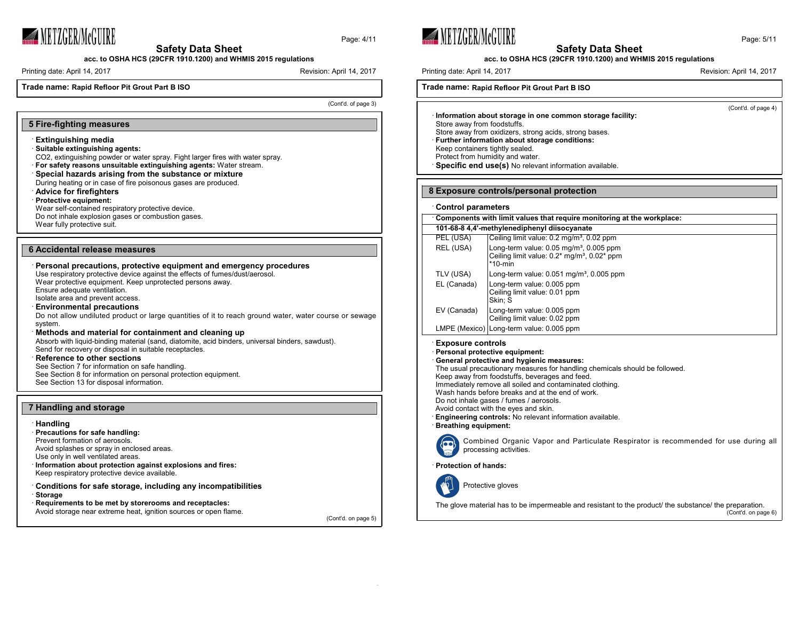

Page: 4/11

**acc. to OSHA HCS (29CFR 1910.1200) and WHMIS 2015 regulations**

Printing date: April 14, 2017 **Revision: April 14, 2017** Revision: April 14, 2017

**Trade name: Rapid Refloor Pit Grout Part B ISO**

(Cont'd. of page 3)

### **5 Fire-fighting measures**

- · **Extinguishing media**
- · **Suitable extinguishing agents:**
- CO2, extinguishing powder or water spray. Fight larger fires with water spray.
- · **For safety reasons unsuitable extinguishing agents:** Water stream.
- · **Special hazards arising from the substance or mixture**
- During heating or in case of fire poisonous gases are produced.
- · **Advice for firefighters**
- · **Protective equipment:**
- Wear self-contained respiratory protective device. Do not inhale explosion gases or combustion gases.
- Wear fully protective suit.
- 

#### **6 Accidental release measures**

| Personal precautions, protective equipment and emergency procedures<br>Use respiratory protective device against the effects of fumes/dust/aerosol.<br>Wear protective equipment. Keep unprotected persons away. |
|------------------------------------------------------------------------------------------------------------------------------------------------------------------------------------------------------------------|
| Ensure adequate ventilation.<br>Isolate area and prevent access.                                                                                                                                                 |
| <b>Environmental precautions</b>                                                                                                                                                                                 |
| Do not allow undiluted product or large quantities of it to reach ground water, water course or sewage<br>system.                                                                                                |
| Methods and material for containment and cleaning up                                                                                                                                                             |
| Absorb with liquid-binding material (sand, diatomite, acid binders, universal binders, sawdust).<br>Send for recovery or disposal in suitable receptacles.                                                       |
| <b>Reference to other sections</b>                                                                                                                                                                               |
| See Section 7 for information on safe handling.                                                                                                                                                                  |
| See Section 8 for information on personal protection equipment.                                                                                                                                                  |
| See Section 13 for disposal information.                                                                                                                                                                         |

### **7 Handling and storage**

### · **Handling** · **Precautions for safe handling:** Prevent formation of aerosols. Avoid splashes or spray in enclosed areas. Use only in well ventilated areas. · **Information about protection against explosions and fires:** Keep respiratory protective device available. · **Conditions for safe storage, including any incompatibilities** · **Storage** · **Requirements to be met by storerooms and receptacles:** Avoid storage near extreme heat, ignition sources or open flame.

(Cont'd. on page 5)





| Page: 5/11 |  |
|------------|--|
|------------|--|

### **acc. to OSHA HCS (29CFR 1910.1200) and WHMIS 2015 regulations**

Printing date: April 14, 2017 **Printing date: April 14, 2017** Revision: April 14, 2017

### **Trade name: Rapid Refloor Pit Grout Part B ISO**

(Cont'd. of page 4)

· **Information about storage in one common storage facility:** Store away from foodstuffs. Store away from oxidizers, strong acids, strong bases. · **Further information about storage conditions:** Keep containers tightly sealed. Protect from humidity and water. · **Specific end use(s)** No relevant information available.

### **8 Exposure controls/personal protection**

| <b>Control parameters</b> |                                                                                                                                  |
|---------------------------|----------------------------------------------------------------------------------------------------------------------------------|
|                           | Components with limit values that require monitoring at the workplace:                                                           |
|                           | 101-68-8 4.4'-methylenediphenyl diisocyanate                                                                                     |
| PEL (USA)                 | Ceiling limit value: 0.2 mg/m <sup>3</sup> , 0.02 ppm                                                                            |
| REL (USA)                 | Long-term value: $0.05$ mg/m <sup>3</sup> , $0.005$ ppm<br>Ceiling limit value: 0.2* mg/m <sup>3</sup> , 0.02* ppm<br>$*10$ -min |
| TLV (USA)                 | Long-term value: $0.051$ mg/m <sup>3</sup> , $0.005$ ppm                                                                         |
| EL (Canada)               | Long-term value: 0.005 ppm<br>Ceiling limit value: 0.01 ppm<br>Skin: S                                                           |
| EV (Canada)               | Long-term value: 0.005 ppm<br>Ceiling limit value: 0.02 ppm                                                                      |
|                           | LMPE (Mexico) Long-term value: 0.005 ppm                                                                                         |

### **Exposure** controls

· **Personal protective equipment:**

#### · **General protective and hygienic measures:**

The usual precautionary measures for handling chemicals should be followed.

- Keep away from foodstuffs, beverages and feed.
- Immediately remove all soiled and contaminated clothing.
- Wash hands before breaks and at the end of work.
- Do not inhale gases / fumes / aerosols.
- Avoid contact with the eyes and skin.
- · **Engineering controls:** No relevant information available. · **Breathing equipment:**



Combined Organic Vapor and Particulate Respirator is recommended for use during all processing activities.

· **Protection of hands:**

Protective gloves

The glove material has to be impermeable and resistant to the product/ the substance/ the preparation. (Cont'd. on page 6)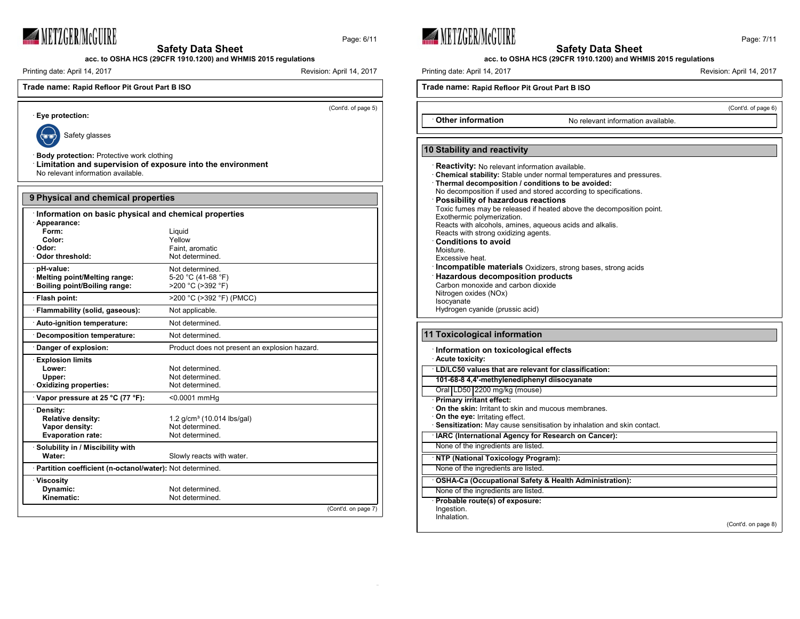

**acc. to OSHA HCS (29CFR 1910.1200) and WHMIS 2015 regulations**

Printing date: April 14, 2017 Revision: April 14, 2017

# **Trade name: Rapid Refloor Pit Grout Part B ISO**

(Cont'd. of page 5)

Page: 6/11



· **Eye protection:**

Safety glasses

· **Body protection:** Protective work clothing

· **Limitation and supervision of exposure into the environment** No relevant information available.

| 9 Physical and chemical properties                         |                                               |                     |
|------------------------------------------------------------|-----------------------------------------------|---------------------|
| Information on basic physical and chemical properties      |                                               |                     |
| Appearance:                                                |                                               |                     |
| Form:                                                      | Liquid                                        |                     |
| Color:                                                     | Yellow                                        |                     |
| · Odor:                                                    | Faint, aromatic                               |                     |
| Odor threshold:                                            | Not determined.                               |                     |
| pH-value:                                                  | Not determined.                               |                     |
| Melting point/Melting range:                               | 5-20 °C (41-68 °F)                            |                     |
| Boiling point/Boiling range:                               | >200 °C (>392 °F)                             |                     |
| · Flash point:                                             | >200 °C (>392 °F) (PMCC)                      |                     |
| Flammability (solid, gaseous):                             | Not applicable.                               |                     |
| Auto-ignition temperature:                                 | Not determined.                               |                     |
| Decomposition temperature:                                 | Not determined.                               |                     |
| Danger of explosion:                                       | Product does not present an explosion hazard. |                     |
| <b>Explosion limits</b>                                    |                                               |                     |
| Lower:                                                     | Not determined.                               |                     |
| Upper:                                                     | Not determined.                               |                     |
| Oxidizing properties:                                      | Not determined.                               |                     |
| Vapor pressure at 25 °C (77 °F):                           | <0.0001 mmHq                                  |                     |
| Density:                                                   |                                               |                     |
| <b>Relative density:</b>                                   | 1.2 g/cm <sup>3</sup> (10.014 lbs/gal)        |                     |
| Vapor density:                                             | Not determined.                               |                     |
| <b>Evaporation rate:</b>                                   | Not determined.                               |                     |
| Solubility in / Miscibility with                           |                                               |                     |
| Water:                                                     | Slowly reacts with water.                     |                     |
| · Partition coefficient (n-octanol/water): Not determined. |                                               |                     |
| · Viscosity                                                |                                               |                     |
| Dynamic:                                                   | Not determined.                               |                     |
| Kinematic:                                                 | Not determined.                               |                     |
|                                                            |                                               | (Cont'd. on page 7) |

METZGER/McGUIRE



**acc. to OSHA HCS (29CFR 1910.1200) and WHMIS 2015 regulations**

Printing date: April 14, 2017 Revision: April 14, 2017

(Cont'd. of page 6)

# **Trade name: Rapid Refloor Pit Grout Part B ISO**

**Other information** No relevant information available.

# **10 Stability and reactivity**

| <b>Reactivity:</b> No relevant information available.<br>Chemical stability: Stable under normal temperatures and pressures.<br>Thermal decomposition / conditions to be avoided:<br>No decomposition if used and stored according to specifications.<br>Possibility of hazardous reactions<br>Toxic fumes may be released if heated above the decomposition point.<br>Exothermic polymerization.<br>Reacts with alcohols, amines, aqueous acids and alkalis.<br>Reacts with strong oxidizing agents.<br><b>Conditions to avoid</b><br>Moisture.<br>Excessive heat.<br>Incompatible materials Oxidizers, strong bases, strong acids<br><b>Hazardous decomposition products</b><br>Carbon monoxide and carbon dioxide<br>Nitrogen oxides (NOx) |
|-----------------------------------------------------------------------------------------------------------------------------------------------------------------------------------------------------------------------------------------------------------------------------------------------------------------------------------------------------------------------------------------------------------------------------------------------------------------------------------------------------------------------------------------------------------------------------------------------------------------------------------------------------------------------------------------------------------------------------------------------|
| Isocyanate                                                                                                                                                                                                                                                                                                                                                                                                                                                                                                                                                                                                                                                                                                                                    |
| Hydrogen cyanide (prussic acid)                                                                                                                                                                                                                                                                                                                                                                                                                                                                                                                                                                                                                                                                                                               |
|                                                                                                                                                                                                                                                                                                                                                                                                                                                                                                                                                                                                                                                                                                                                               |

# **11 Toxicological information**

| : Information on toxicological effects<br><b>Acute toxicity:</b>       |                     |
|------------------------------------------------------------------------|---------------------|
| . LD/LC50 values that are relevant for classification:                 |                     |
| 101-68-8 4.4'-methylenediphenyl diisocyanate                           |                     |
| Oral LD50 2200 mg/kg (mouse)                                           |                     |
| <b>Primary irritant effect:</b>                                        |                     |
| On the skin: Irritant to skin and mucous membranes.                    |                     |
| On the eye: Irritating effect.                                         |                     |
| Sensitization: May cause sensitisation by inhalation and skin contact. |                     |
| <b>IARC (International Agency for Research on Cancer):</b>             |                     |
| None of the ingredients are listed.                                    |                     |
| NTP (National Toxicology Program):                                     |                     |
| None of the ingredients are listed.                                    |                     |
| OSHA-Ca (Occupational Safety & Health Administration):                 |                     |
| None of the ingredients are listed.                                    |                     |
| Probable route(s) of exposure:                                         |                     |
| Ingestion.                                                             |                     |
| Inhalation.                                                            |                     |
|                                                                        | (Cont'd. on page 8) |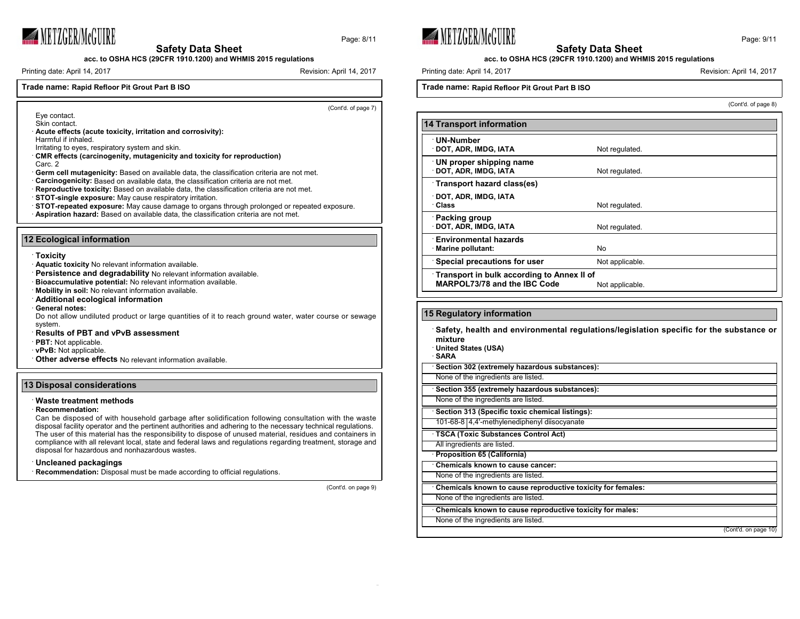

Page: 8/11



Printing date: April 14, 2017 **Revision: April 14, 2017** Revision: April 14, 2017

## **Trade name: Rapid Refloor Pit Grout Part B ISO**

(Cont'd. of page 7)

- Eye contact. Skin contact.
- · **Acute effects (acute toxicity, irritation and corrosivity):**
- Harmful if inhaled.
- Irritating to eyes, respiratory system and skin.
- · **CMR effects (carcinogenity, mutagenicity and toxicity for reproduction)**
- Carc. 2
- · **Germ cell mutagenicity:** Based on available data, the classification criteria are not met.
- **Carcinogenicity:** Based on available data, the classification criteria are not met.
- · **Reproductive toxicity:** Based on available data, the classification criteria are not met.
- · **STOT-single exposure:** May cause respiratory irritation.
- · **STOT-repeated exposure:** May cause damage to organs through prolonged or repeated exposure. · **Aspiration hazard:** Based on available data, the classification criteria are not met.

### **12 Ecological information**

- · **Toxicity**
- · **Aquatic toxicity** No relevant information available.
- · **Persistence and degradability** No relevant information available.
- · **Bioaccumulative potential:** No relevant information available.
- · **Mobility in soil:** No relevant information available.
- · **Additional ecological information**
- · **General notes:**
- Do not allow undiluted product or large quantities of it to reach ground water, water course or sewage system.
- · **Results of PBT and vPvB assessment**
- · **PBT:** Not applicable.
- · **vPvB:** Not applicable.
- · **Other adverse effects** No relevant information available.

#### **13 Disposal considerations**

### · **Waste treatment methods**

· **Recommendation:**

Can be disposed of with household garbage after solidification following consultation with the waste disposal facility operator and the pertinent authorities and adhering to the necessary technical regulations. The user of this material has the responsibility to dispose of unused material, residues and containers in compliance with all relevant local, state and federal laws and regulations regarding treatment, storage and disposal for hazardous and nonhazardous wastes.

#### · **Uncleaned packagings**

**Recommendation:** Disposal must be made according to official regulations.

(Cont'd. on page 9)





**acc. to OSHA HCS (29CFR 1910.1200) and WHMIS 2015 regulations**

Printing date: April 14, 2017 **Printing date: April 14, 2017** Revision: April 14, 2017

## **Trade name: Rapid Refloor Pit Grout Part B ISO**

(Cont'd. of page 8)

| <b>14 Transport information</b>            |                 |
|--------------------------------------------|-----------------|
|                                            |                 |
| <b>UN-Number</b>                           |                 |
| DOT, ADR, IMDG, IATA                       | Not regulated.  |
| UN proper shipping name                    |                 |
| DOT, ADR, IMDG, IATA                       | Not regulated.  |
| Transport hazard class(es)                 |                 |
| DOT, ADR, IMDG, IATA                       |                 |
| ∴Class                                     | Not regulated.  |
|                                            |                 |
| <b>Packing group</b>                       |                 |
| DOT, ADR, IMDG, IATA                       | Not regulated.  |
| <b>Environmental hazards</b>               |                 |
| Marine pollutant:                          | No.             |
| Special precautions for user               | Not applicable. |
| Transport in bulk according to Annex II of |                 |
| MARPOL73/78 and the IBC Code               | Not applicable. |
|                                            |                 |

# **15 Regulatory information**

· **Safety, health and environmental regulations/legislation specific for the substance or mixture**

- · **United States (USA)**
- · **SARA**

· **Section 302 (extremely hazardous substances):**

None of the ingredients are listed.

· **Section 355 (extremely hazardous substances):**

None of the ingredients are listed.

· **Section 313 (Specific toxic chemical listings):**

101-68-8 4,4'-methylenediphenyl diisocyanate

· **TSCA (Toxic Substances Control Act)** All ingredients are listed.

· **Proposition 65 (California)**

· **Chemicals known to cause cancer:**

None of the ingredients are listed.

· **Chemicals known to cause reproductive toxicity for females:**

None of the ingredients are listed.

· **Chemicals known to cause reproductive toxicity for males:**

None of the ingredients are listed.

(Cont'd. on page 10)